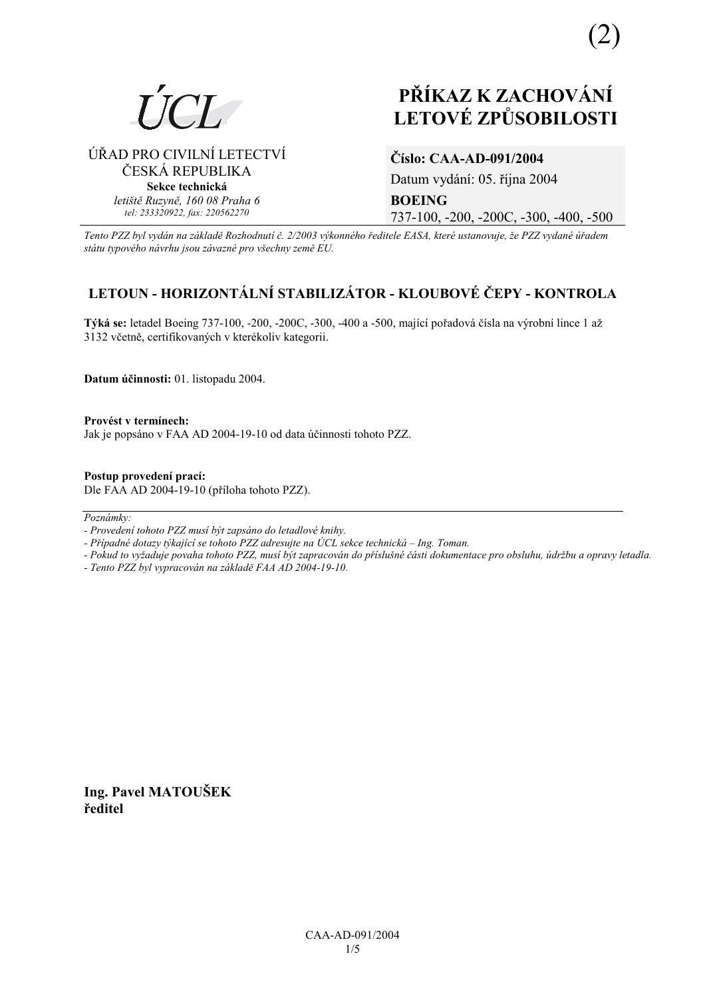

⁄ŘAD PRO CIVILNÕ LETECTVÕ ČESKÁ REPUBLIKA **Sekce technická** *letiötě Ruzyně, 160 08 Praha 6 tel: 233320922, fax: 220562270*

## **PŘÍKAZ K ZACHOVÁNÍ LETOV… ZPŮSOBILOSTI**

# **ČÌslo: CAA-AD-091/2004**

Datum vydání: 05. října 2004 **BOEING**  737-100, -200, -200C, -300, -400, -500

*Tento PZZ byl vyd·n na z·kladě RozhodnutÌ č. 2/2003 v˝konnÈho ředitele EASA, kterÈ ustanovuje, ûe PZZ vydanÈ ˙řadem st·tu typovÈho n·vrhu jsou z·vaznÈ pro vöechny země EU.*

### **LETOUN - HORIZONTÁLNÍ STABILIZÁTOR - KLOUBOVÉ ČEPY - KONTROLA**

Týká se: letadel Boeing 737-100, -200, -200C, -300, -400 a -500, mající pořadová čísla na výrobní lince 1 až 3132 včetně, certifikovaných v kterékoliv kategorii.

**Datum ˙činnosti:** 01. listopadu 2004.

Provést v termínech: Jak je popsáno v FAA AD 2004-19-10 od data účinnosti tohoto PZZ.

**Postup provedenÌ pracÌ:**  Dle FAA AD 2004-19-10 (přÌloha tohoto PZZ).

 $Poznámky:$ 

- *Pokud to vyûaduje povaha tohoto PZZ, musÌ b˝t zapracov·n do přÌsluönÈ č·sti dokumentace pro obsluhu, ˙drûbu a opravy letadla.*
- *Tento PZZ byl vypracov·n na z·kladě FAA AD 2004-19-10.*

**Ing. Pavel MATOUäEK ředitel** 

*<sup>-</sup> ProvedenÌ tohoto PZZ musÌ b˝t zaps·no do letadlovÈ knihy.* 

*<sup>-</sup> Případné dotazy týkající se tohoto PZZ adresujte na ÚCL sekce technická – Ing. Toman.*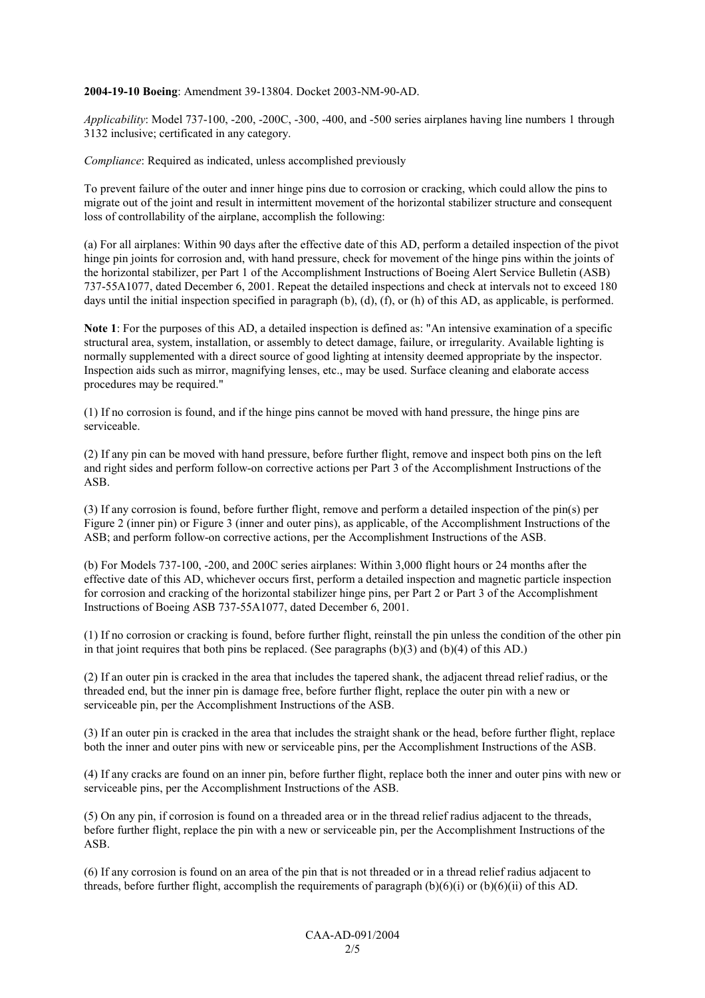#### **2004-19-10 Boeing**: Amendment 39-13804. Docket 2003-NM-90-AD.

*Applicability*: Model 737-100, -200, -200C, -300, -400, and -500 series airplanes having line numbers 1 through 3132 inclusive; certificated in any category.

*Compliance*: Required as indicated, unless accomplished previously

To prevent failure of the outer and inner hinge pins due to corrosion or cracking, which could allow the pins to migrate out of the joint and result in intermittent movement of the horizontal stabilizer structure and consequent loss of controllability of the airplane, accomplish the following:

(a) For all airplanes: Within 90 days after the effective date of this AD, perform a detailed inspection of the pivot hinge pin joints for corrosion and, with hand pressure, check for movement of the hinge pins within the joints of the horizontal stabilizer, per Part 1 of the Accomplishment Instructions of Boeing Alert Service Bulletin (ASB) 737-55A1077, dated December 6, 2001. Repeat the detailed inspections and check at intervals not to exceed 180 days until the initial inspection specified in paragraph (b), (d), (f), or (h) of this AD, as applicable, is performed.

**Note 1**: For the purposes of this AD, a detailed inspection is defined as: "An intensive examination of a specific structural area, system, installation, or assembly to detect damage, failure, or irregularity. Available lighting is normally supplemented with a direct source of good lighting at intensity deemed appropriate by the inspector. Inspection aids such as mirror, magnifying lenses, etc., may be used. Surface cleaning and elaborate access procedures may be required."

(1) If no corrosion is found, and if the hinge pins cannot be moved with hand pressure, the hinge pins are serviceable.

(2) If any pin can be moved with hand pressure, before further flight, remove and inspect both pins on the left and right sides and perform follow-on corrective actions per Part 3 of the Accomplishment Instructions of the ASB.

(3) If any corrosion is found, before further flight, remove and perform a detailed inspection of the pin(s) per Figure 2 (inner pin) or Figure 3 (inner and outer pins), as applicable, of the Accomplishment Instructions of the ASB; and perform follow-on corrective actions, per the Accomplishment Instructions of the ASB.

(b) For Models 737-100, -200, and 200C series airplanes: Within 3,000 flight hours or 24 months after the effective date of this AD, whichever occurs first, perform a detailed inspection and magnetic particle inspection for corrosion and cracking of the horizontal stabilizer hinge pins, per Part 2 or Part 3 of the Accomplishment Instructions of Boeing ASB 737-55A1077, dated December 6, 2001.

(1) If no corrosion or cracking is found, before further flight, reinstall the pin unless the condition of the other pin in that joint requires that both pins be replaced. (See paragraphs  $(b)(3)$  and  $(b)(4)$  of this AD.)

(2) If an outer pin is cracked in the area that includes the tapered shank, the adjacent thread relief radius, or the threaded end, but the inner pin is damage free, before further flight, replace the outer pin with a new or serviceable pin, per the Accomplishment Instructions of the ASB.

(3) If an outer pin is cracked in the area that includes the straight shank or the head, before further flight, replace both the inner and outer pins with new or serviceable pins, per the Accomplishment Instructions of the ASB.

(4) If any cracks are found on an inner pin, before further flight, replace both the inner and outer pins with new or serviceable pins, per the Accomplishment Instructions of the ASB.

(5) On any pin, if corrosion is found on a threaded area or in the thread relief radius adjacent to the threads, before further flight, replace the pin with a new or serviceable pin, per the Accomplishment Instructions of the ASB.

(6) If any corrosion is found on an area of the pin that is not threaded or in a thread relief radius adjacent to threads, before further flight, accomplish the requirements of paragraph  $(b)(6)(i)$  or  $(b)(6)(ii)$  of this AD.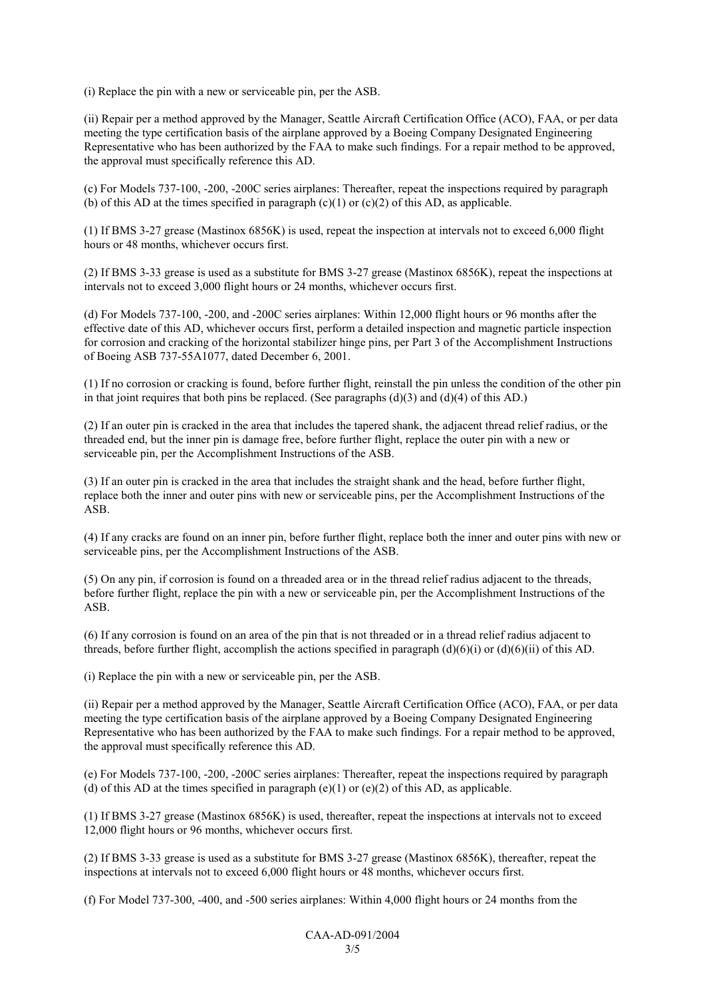(i) Replace the pin with a new or serviceable pin, per the ASB.

(ii) Repair per a method approved by the Manager, Seattle Aircraft Certification Office (ACO), FAA, or per data meeting the type certification basis of the airplane approved by a Boeing Company Designated Engineering Representative who has been authorized by the FAA to make such findings. For a repair method to be approved, the approval must specifically reference this AD.

(c) For Models 737-100, -200, -200C series airplanes: Thereafter, repeat the inspections required by paragraph (b) of this AD at the times specified in paragraph (c)(1) or (c)(2) of this AD, as applicable.

(1) If BMS 3-27 grease (Mastinox 6856K) is used, repeat the inspection at intervals not to exceed 6,000 flight hours or 48 months, whichever occurs first.

(2) If BMS 3-33 grease is used as a substitute for BMS 3-27 grease (Mastinox 6856K), repeat the inspections at intervals not to exceed 3,000 flight hours or 24 months, whichever occurs first.

(d) For Models 737-100, -200, and -200C series airplanes: Within 12,000 flight hours or 96 months after the effective date of this AD, whichever occurs first, perform a detailed inspection and magnetic particle inspection for corrosion and cracking of the horizontal stabilizer hinge pins, per Part 3 of the Accomplishment Instructions of Boeing ASB 737-55A1077, dated December 6, 2001.

(1) If no corrosion or cracking is found, before further flight, reinstall the pin unless the condition of the other pin in that joint requires that both pins be replaced. (See paragraphs  $(d)(3)$  and  $(d)(4)$  of this AD.)

(2) If an outer pin is cracked in the area that includes the tapered shank, the adjacent thread relief radius, or the threaded end, but the inner pin is damage free, before further flight, replace the outer pin with a new or serviceable pin, per the Accomplishment Instructions of the ASB.

(3) If an outer pin is cracked in the area that includes the straight shank and the head, before further flight, replace both the inner and outer pins with new or serviceable pins, per the Accomplishment Instructions of the ASB.

(4) If any cracks are found on an inner pin, before further flight, replace both the inner and outer pins with new or serviceable pins, per the Accomplishment Instructions of the ASB.

(5) On any pin, if corrosion is found on a threaded area or in the thread relief radius adjacent to the threads, before further flight, replace the pin with a new or serviceable pin, per the Accomplishment Instructions of the ASB.

(6) If any corrosion is found on an area of the pin that is not threaded or in a thread relief radius adjacent to threads, before further flight, accomplish the actions specified in paragraph  $(d)(6)(i)$  or  $(d)(6)(ii)$  of this AD.

(i) Replace the pin with a new or serviceable pin, per the ASB.

(ii) Repair per a method approved by the Manager, Seattle Aircraft Certification Office (ACO), FAA, or per data meeting the type certification basis of the airplane approved by a Boeing Company Designated Engineering Representative who has been authorized by the FAA to make such findings. For a repair method to be approved, the approval must specifically reference this AD.

(e) For Models 737-100, -200, -200C series airplanes: Thereafter, repeat the inspections required by paragraph (d) of this AD at the times specified in paragraph  $(e)(1)$  or  $(e)(2)$  of this AD, as applicable.

(1) If BMS 3-27 grease (Mastinox 6856K) is used, thereafter, repeat the inspections at intervals not to exceed 12,000 flight hours or 96 months, whichever occurs first.

(2) If BMS 3-33 grease is used as a substitute for BMS 3-27 grease (Mastinox 6856K), thereafter, repeat the inspections at intervals not to exceed 6,000 flight hours or 48 months, whichever occurs first.

(f) For Model 737-300, -400, and -500 series airplanes: Within 4,000 flight hours or 24 months from the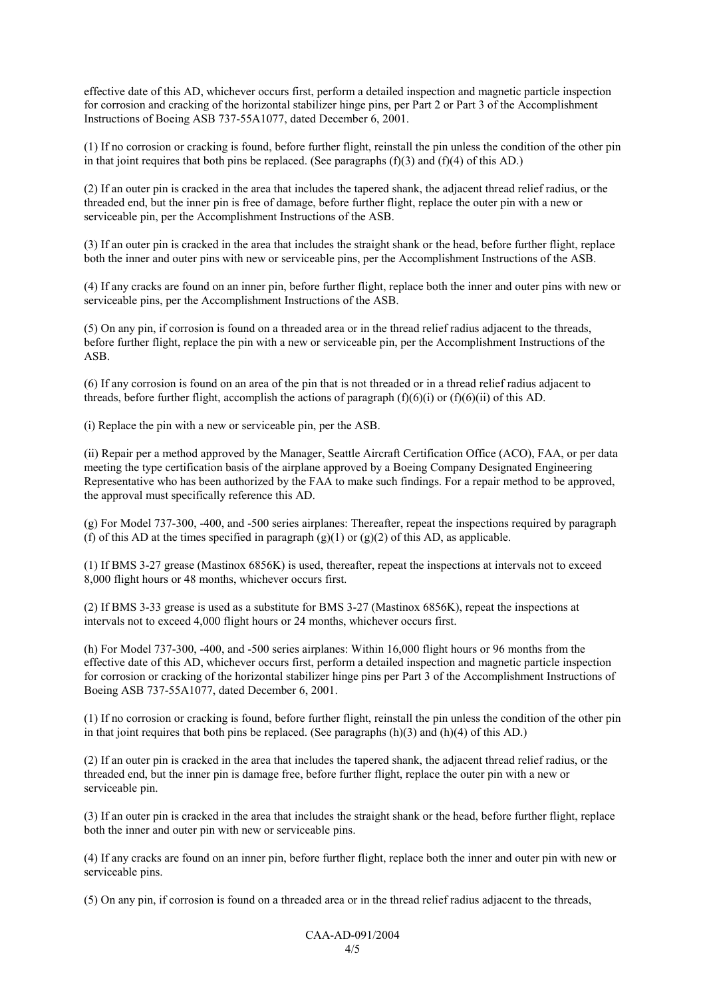effective date of this AD, whichever occurs first, perform a detailed inspection and magnetic particle inspection for corrosion and cracking of the horizontal stabilizer hinge pins, per Part 2 or Part 3 of the Accomplishment Instructions of Boeing ASB 737-55A1077, dated December 6, 2001.

(1) If no corrosion or cracking is found, before further flight, reinstall the pin unless the condition of the other pin in that joint requires that both pins be replaced. (See paragraphs  $(f)(3)$  and  $(f)(4)$  of this AD.)

(2) If an outer pin is cracked in the area that includes the tapered shank, the adjacent thread relief radius, or the threaded end, but the inner pin is free of damage, before further flight, replace the outer pin with a new or serviceable pin, per the Accomplishment Instructions of the ASB.

(3) If an outer pin is cracked in the area that includes the straight shank or the head, before further flight, replace both the inner and outer pins with new or serviceable pins, per the Accomplishment Instructions of the ASB.

(4) If any cracks are found on an inner pin, before further flight, replace both the inner and outer pins with new or serviceable pins, per the Accomplishment Instructions of the ASB.

(5) On any pin, if corrosion is found on a threaded area or in the thread relief radius adjacent to the threads, before further flight, replace the pin with a new or serviceable pin, per the Accomplishment Instructions of the ASB.

(6) If any corrosion is found on an area of the pin that is not threaded or in a thread relief radius adjacent to threads, before further flight, accomplish the actions of paragraph  $(f)(6)(i)$  or  $(f)(6)(ii)$  of this AD.

(i) Replace the pin with a new or serviceable pin, per the ASB.

(ii) Repair per a method approved by the Manager, Seattle Aircraft Certification Office (ACO), FAA, or per data meeting the type certification basis of the airplane approved by a Boeing Company Designated Engineering Representative who has been authorized by the FAA to make such findings. For a repair method to be approved, the approval must specifically reference this AD.

(g) For Model 737-300, -400, and -500 series airplanes: Thereafter, repeat the inspections required by paragraph (f) of this AD at the times specified in paragraph  $(g)(1)$  or  $(g)(2)$  of this AD, as applicable.

(1) If BMS 3-27 grease (Mastinox 6856K) is used, thereafter, repeat the inspections at intervals not to exceed 8,000 flight hours or 48 months, whichever occurs first.

(2) If BMS 3-33 grease is used as a substitute for BMS 3-27 (Mastinox 6856K), repeat the inspections at intervals not to exceed 4,000 flight hours or 24 months, whichever occurs first.

(h) For Model 737-300, -400, and -500 series airplanes: Within 16,000 flight hours or 96 months from the effective date of this AD, whichever occurs first, perform a detailed inspection and magnetic particle inspection for corrosion or cracking of the horizontal stabilizer hinge pins per Part 3 of the Accomplishment Instructions of Boeing ASB 737-55A1077, dated December 6, 2001.

(1) If no corrosion or cracking is found, before further flight, reinstall the pin unless the condition of the other pin in that joint requires that both pins be replaced. (See paragraphs (h)(3) and (h)(4) of this AD.)

(2) If an outer pin is cracked in the area that includes the tapered shank, the adjacent thread relief radius, or the threaded end, but the inner pin is damage free, before further flight, replace the outer pin with a new or serviceable pin.

(3) If an outer pin is cracked in the area that includes the straight shank or the head, before further flight, replace both the inner and outer pin with new or serviceable pins.

(4) If any cracks are found on an inner pin, before further flight, replace both the inner and outer pin with new or serviceable pins.

(5) On any pin, if corrosion is found on a threaded area or in the thread relief radius adjacent to the threads,